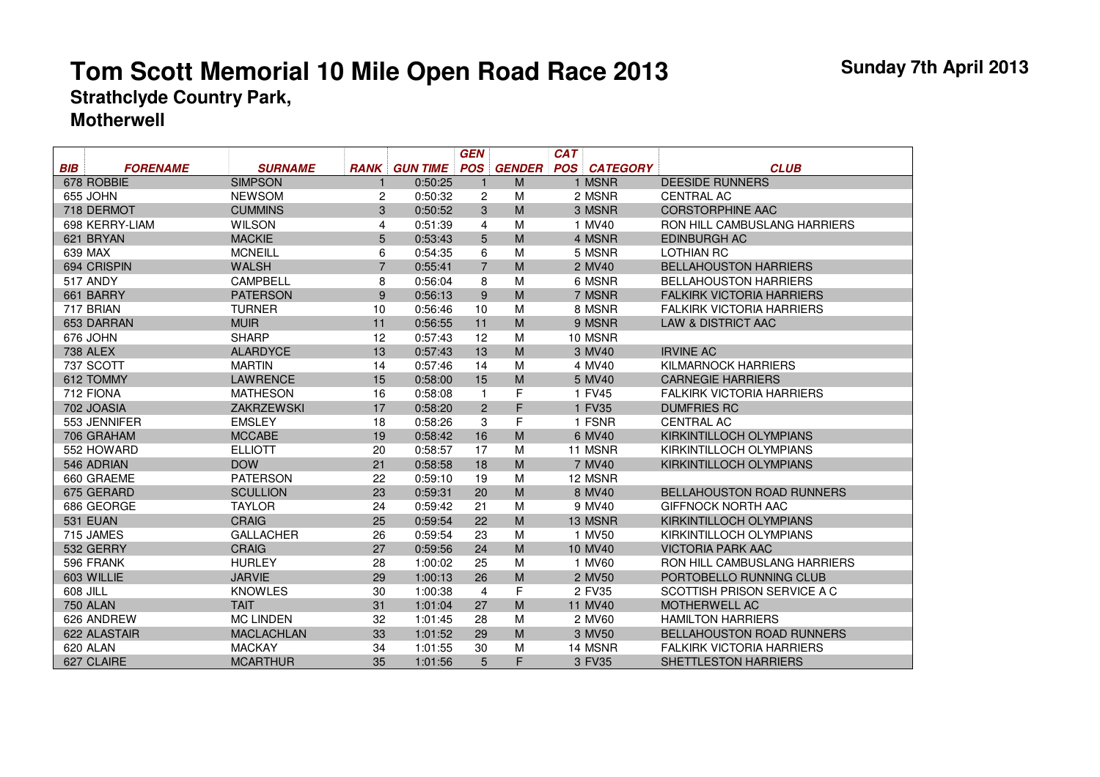|            |                 |                   |                |                 | <b>GEN</b>     |               | <b>CAT</b> |                 |                                  |
|------------|-----------------|-------------------|----------------|-----------------|----------------|---------------|------------|-----------------|----------------------------------|
| <b>BIB</b> | <b>FORENAME</b> | <b>SURNAME</b>    | <b>RANK</b>    | <b>GUN TIME</b> | <b>POS</b>     | <b>GENDER</b> | <b>POS</b> | <b>CATEGORY</b> | <b>CLUB</b>                      |
|            | 678 ROBBIE      | <b>SIMPSON</b>    |                | 0:50:25         | 1              | M             |            | 1 MSNR          | <b>DEESIDE RUNNERS</b>           |
|            | 655 JOHN        | <b>NEWSOM</b>     | 2              | 0:50:32         | 2              | M             |            | 2 MSNR          | <b>CENTRAL AC</b>                |
|            | 718 DERMOT      | <b>CUMMINS</b>    | 3              | 0:50:52         | 3              | M             |            | 3 MSNR          | <b>CORSTORPHINE AAC</b>          |
|            | 698 KERRY-LIAM  | <b>WILSON</b>     | 4              | 0:51:39         | 4              | M             |            | 1 MV40          | RON HILL CAMBUSLANG HARRIERS     |
|            | 621 BRYAN       | <b>MACKIE</b>     | 5              | 0:53:43         | 5              | M             |            | 4 MSNR          | <b>EDINBURGH AC</b>              |
|            | 639 MAX         | <b>MCNEILL</b>    | 6              | 0:54:35         | 6              | M             |            | 5 MSNR          | <b>LOTHIAN RC</b>                |
|            | 694 CRISPIN     | <b>WALSH</b>      | $\overline{7}$ | 0:55:41         | $\overline{7}$ | M             |            | 2 MV40          | <b>BELLAHOUSTON HARRIERS</b>     |
|            | <b>517 ANDY</b> | <b>CAMPBELL</b>   | 8              | 0:56:04         | 8              | M             |            | 6 MSNR          | <b>BELLAHOUSTON HARRIERS</b>     |
|            | 661 BARRY       | <b>PATERSON</b>   | 9              | 0:56:13         | 9              | M             |            | 7 MSNR          | <b>FALKIRK VICTORIA HARRIERS</b> |
|            | 717 BRIAN       | <b>TURNER</b>     | 10             | 0:56:46         | 10             | M             |            | 8 MSNR          | <b>FALKIRK VICTORIA HARRIERS</b> |
|            | 653 DARRAN      | <b>MUIR</b>       | 11             | 0:56:55         | 11             | M             |            | 9 MSNR          | <b>LAW &amp; DISTRICT AAC</b>    |
|            | 676 JOHN        | <b>SHARP</b>      | 12             | 0:57:43         | 12             | M             |            | 10 MSNR         |                                  |
|            | <b>738 ALEX</b> | <b>ALARDYCE</b>   | 13             | 0:57:43         | 13             | M             |            | 3 MV40          | <b>IRVINE AC</b>                 |
|            | 737 SCOTT       | <b>MARTIN</b>     | 14             | 0:57:46         | 14             | M             |            | 4 MV40          | <b>KILMARNOCK HARRIERS</b>       |
|            | 612 TOMMY       | <b>LAWRENCE</b>   | 15             | 0:58:00         | 15             | M             |            | 5 MV40          | <b>CARNEGIE HARRIERS</b>         |
|            | 712 FIONA       | <b>MATHESON</b>   | 16             | 0:58:08         | $\mathbf{1}$   | F             |            | 1 FV45          | <b>FALKIRK VICTORIA HARRIERS</b> |
|            | 702 JOASIA      | <b>ZAKRZEWSKI</b> | 17             | 0:58:20         | $\overline{2}$ | F             |            | 1 FV35          | <b>DUMFRIES RC</b>               |
|            | 553 JENNIFER    | <b>EMSLEY</b>     | 18             | 0:58:26         | 3              | F             |            | 1 FSNR          | <b>CENTRAL AC</b>                |
|            | 706 GRAHAM      | <b>MCCABE</b>     | 19             | 0:58:42         | 16             | M             |            | 6 MV40          | KIRKINTILLOCH OLYMPIANS          |
|            | 552 HOWARD      | <b>ELLIOTT</b>    | 20             | 0:58:57         | 17             | M             |            | 11 MSNR         | KIRKINTILLOCH OLYMPIANS          |
|            | 546 ADRIAN      | <b>DOW</b>        | 21             | 0:58:58         | 18             | M             |            | 7 MV40          | KIRKINTILLOCH OLYMPIANS          |
|            | 660 GRAEME      | <b>PATERSON</b>   | 22             | 0:59:10         | 19             | M             |            | 12 MSNR         |                                  |
|            | 675 GERARD      | <b>SCULLION</b>   | 23             | 0:59:31         | 20             | M             |            | 8 MV40          | <b>BELLAHOUSTON ROAD RUNNERS</b> |
|            | 686 GEORGE      | <b>TAYLOR</b>     | 24             | 0:59:42         | 21             | M             |            | 9 MV40          | <b>GIFFNOCK NORTH AAC</b>        |
|            | 531 EUAN        | <b>CRAIG</b>      | 25             | 0:59:54         | 22             | M             |            | 13 MSNR         | KIRKINTILLOCH OLYMPIANS          |
|            | 715 JAMES       | <b>GALLACHER</b>  | 26             | 0:59:54         | 23             | M             |            | 1 MV50          | KIRKINTILLOCH OLYMPIANS          |
|            | 532 GERRY       | <b>CRAIG</b>      | 27             | 0:59:56         | 24             | M             |            | 10 MV40         | <b>VICTORIA PARK AAC</b>         |
|            | 596 FRANK       | <b>HURLEY</b>     | 28             | 1:00:02         | 25             | M             |            | 1 MV60          | RON HILL CAMBUSLANG HARRIERS     |
|            | 603 WILLIE      | <b>JARVIE</b>     | 29             | 1:00:13         | 26             | M             |            | 2 MV50          | PORTOBELLO RUNNING CLUB          |
| 608 JILL   |                 | <b>KNOWLES</b>    | 30             | 1:00:38         | 4              | F             |            | 2 FV35          | SCOTTISH PRISON SERVICE A C      |
|            | <b>750 ALAN</b> | <b>TAIT</b>       | 31             | 1:01:04         | 27             | M             |            | 11 MV40         | <b>MOTHERWELL AC</b>             |
|            | 626 ANDREW      | <b>MC LINDEN</b>  | 32             | 1:01:45         | 28             | M             |            | 2 MV60          | <b>HAMILTON HARRIERS</b>         |
|            | 622 ALASTAIR    | <b>MACLACHLAN</b> | 33             | 1:01:52         | 29             | M             |            | 3 MV50          | <b>BELLAHOUSTON ROAD RUNNERS</b> |
|            | 620 ALAN        | <b>MACKAY</b>     | 34             | 1:01:55         | 30             | M             |            | 14 MSNR         | <b>FALKIRK VICTORIA HARRIERS</b> |
|            | 627 CLAIRE      | <b>MCARTHUR</b>   | 35             | 1:01:56         | 5              | F             |            | 3 FV35          | <b>SHETTLESTON HARRIERS</b>      |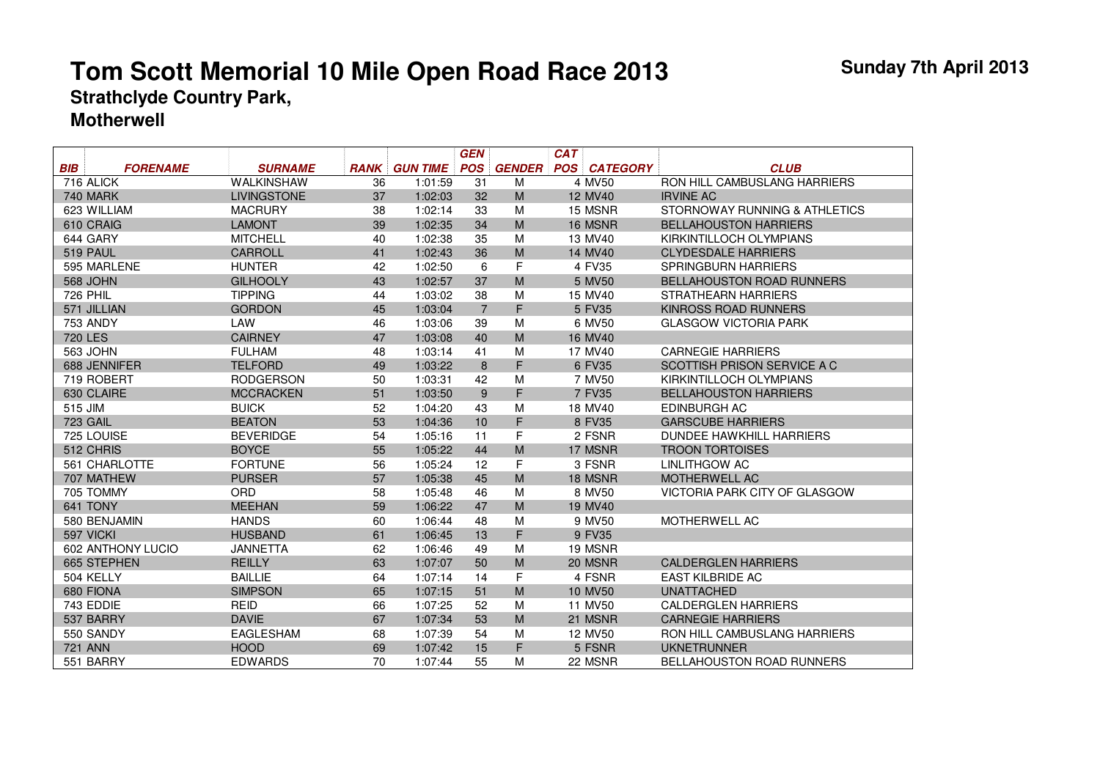|                |                   |                    |             |                 | GEN            |               | <b>CAT</b>          |                                     |
|----------------|-------------------|--------------------|-------------|-----------------|----------------|---------------|---------------------|-------------------------------------|
| BIB            | <b>FORENAME</b>   | <b>SURNAME</b>     | <b>RANK</b> | <b>GUN TIME</b> | <b>POS</b>     | <b>GENDER</b> | <b>POS CATEGORY</b> | <b>CLUB</b>                         |
|                | 716 ALICK         | <b>WALKINSHAW</b>  | 36          | 1:01:59         | 31             | M             | 4 MV50              | RON HILL CAMBUSLANG HARRIERS        |
|                | <b>740 MARK</b>   | <b>LIVINGSTONE</b> | 37          | 1:02:03         | 32             | ${\sf M}$     | 12 MV40             | <b>IRVINE AC</b>                    |
|                | 623 WILLIAM       | <b>MACRURY</b>     | 38          | 1:02:14         | 33             | м             | 15 MSNR             | STORNOWAY RUNNING & ATHLETICS       |
|                | 610 CRAIG         | <b>LAMONT</b>      | 39          | 1:02:35         | 34             | M             | 16 MSNR             | <b>BELLAHOUSTON HARRIERS</b>        |
|                | 644 GARY          | <b>MITCHELL</b>    | 40          | 1:02:38         | 35             | М             | 13 MV40             | KIRKINTILLOCH OLYMPIANS             |
|                | 519 PAUL          | <b>CARROLL</b>     | 41          | 1:02:43         | 36             | M             | 14 MV40             | <b>CLYDESDALE HARRIERS</b>          |
|                | 595 MARLENE       | <b>HUNTER</b>      | 42          | 1:02:50         | 6              | F             | 4 FV35              | <b>SPRINGBURN HARRIERS</b>          |
|                | <b>568 JOHN</b>   | <b>GILHOOLY</b>    | 43          | 1:02:57         | 37             | M             | 5 MV50              | <b>BELLAHOUSTON ROAD RUNNERS</b>    |
|                | <b>726 PHIL</b>   | <b>TIPPING</b>     | 44          | 1:03:02         | 38             | м             | 15 MV40             | STRATHEARN HARRIERS                 |
|                | 571 JILLIAN       | <b>GORDON</b>      | 45          | 1:03:04         | $\overline{7}$ | F             | 5 FV35              | <b>KINROSS ROAD RUNNERS</b>         |
|                | <b>753 ANDY</b>   | LAW                | 46          | 1:03:06         | 39             | M             | 6 MV50              | <b>GLASGOW VICTORIA PARK</b>        |
| <b>720 LES</b> |                   | <b>CAIRNEY</b>     | 47          | 1:03:08         | 40             | M             | 16 MV40             |                                     |
|                | 563 JOHN          | <b>FULHAM</b>      | 48          | 1:03:14         | 41             | M             | 17 MV40             | <b>CARNEGIE HARRIERS</b>            |
|                | 688 JENNIFER      | <b>TELFORD</b>     | 49          | 1:03:22         | 8              | F             | 6 FV35              | SCOTTISH PRISON SERVICE A C         |
|                | 719 ROBERT        | <b>RODGERSON</b>   | 50          | 1:03:31         | 42             | M             | 7 MV50              | KIRKINTILLOCH OLYMPIANS             |
|                | 630 CLAIRE        | <b>MCCRACKEN</b>   | 51          | 1:03:50         | 9              | F             | 7 FV35              | <b>BELLAHOUSTON HARRIERS</b>        |
| 515 JIM        |                   | <b>BUICK</b>       | 52          | 1:04:20         | 43             | M             | 18 MV40             | EDINBURGH AC                        |
|                | <b>723 GAIL</b>   | <b>BEATON</b>      | 53          | 1:04:36         | 10             | F.            | 8 FV35              | <b>GARSCUBE HARRIERS</b>            |
|                | 725 LOUISE        | <b>BEVERIDGE</b>   | 54          | 1:05:16         | 11             | F             | 2 FSNR              | DUNDEE HAWKHILL HARRIERS            |
|                | 512 CHRIS         | <b>BOYCE</b>       | 55          | 1:05:22         | 44             | M             | 17 MSNR             | <b>TROON TORTOISES</b>              |
|                | 561 CHARLOTTE     | <b>FORTUNE</b>     | 56          | 1:05:24         | 12             | F             | 3 FSNR              | LINLITHGOW AC                       |
|                | 707 MATHEW        | <b>PURSER</b>      | 57          | 1:05:38         | 45             | M             | 18 MSNR             | MOTHERWELL AC                       |
|                | 705 TOMMY         | <b>ORD</b>         | 58          | 1:05:48         | 46             | м             | 8 MV50              | VICTORIA PARK CITY OF GLASGOW       |
|                | 641 TONY          | <b>MEEHAN</b>      | 59          | 1:06:22         | 47             | M             | 19 MV40             |                                     |
|                | 580 BENJAMIN      | <b>HANDS</b>       | 60          | 1:06:44         | 48             | м             | 9 MV50              | <b>MOTHERWELL AC</b>                |
|                | 597 VICKI         | <b>HUSBAND</b>     | 61          | 1:06:45         | 13             | F             | 9 FV35              |                                     |
|                | 602 ANTHONY LUCIO | <b>JANNETTA</b>    | 62          | 1:06:46         | 49             | м             | 19 MSNR             |                                     |
|                | 665 STEPHEN       | <b>REILLY</b>      | 63          | 1:07:07         | 50             | M             | 20 MSNR             | <b>CALDERGLEN HARRIERS</b>          |
|                | 504 KELLY         | <b>BAILLIE</b>     | 64          | 1:07:14         | 14             | F             | 4 FSNR              | <b>EAST KILBRIDE AC</b>             |
|                | 680 FIONA         | <b>SIMPSON</b>     | 65          | 1:07:15         | 51             | M             | 10 MV50             | <b>UNATTACHED</b>                   |
|                | 743 EDDIE         | <b>REID</b>        | 66          | 1:07:25         | 52             | M             | 11 MV50             | <b>CALDERGLEN HARRIERS</b>          |
|                | 537 BARRY         | <b>DAVIE</b>       | 67          | 1:07:34         | 53             | M             | 21 MSNR             | <b>CARNEGIE HARRIERS</b>            |
|                | 550 SANDY         | <b>EAGLESHAM</b>   | 68          | 1:07:39         | 54             | M             | 12 MV50             | <b>RON HILL CAMBUSLANG HARRIERS</b> |
|                | <b>721 ANN</b>    | <b>HOOD</b>        | 69          | 1:07:42         | 15             | F             | 5 FSNR              | <b>UKNETRUNNER</b>                  |
|                | 551 BARRY         | <b>EDWARDS</b>     | 70          | 1:07:44         | 55             | м             | 22 MSNR             | BELLAHOUSTON ROAD RUNNERS           |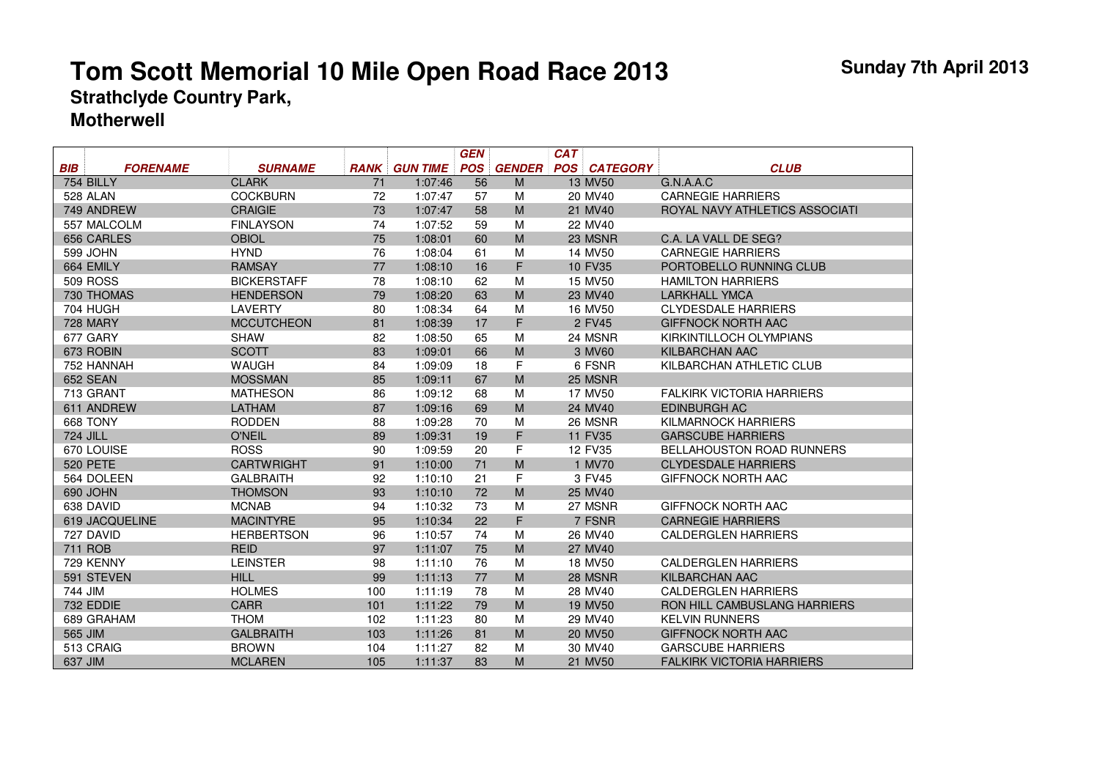|            |                 |                    |             |                 | <b>GEN</b> |               | <b>CAT</b> |                     |                                  |
|------------|-----------------|--------------------|-------------|-----------------|------------|---------------|------------|---------------------|----------------------------------|
| <b>BIB</b> | <b>FORENAME</b> | <b>SURNAME</b>     | <b>RANK</b> | <b>GUN TIME</b> | <b>POS</b> | <b>GENDER</b> |            | <b>POS CATEGORY</b> | <b>CLUB</b>                      |
|            | 754 BILLY       | <b>CLARK</b>       | 71          | 1:07:46         | 56         | M             |            | 13 MV50             | G.N.A.A.C                        |
|            | 528 ALAN        | <b>COCKBURN</b>    | 72          | 1:07:47         | 57         | M             |            | 20 MV40             | <b>CARNEGIE HARRIERS</b>         |
|            | 749 ANDREW      | <b>CRAIGIE</b>     | 73          | 1:07:47         | 58         | M             |            | 21 MV40             | ROYAL NAVY ATHLETICS ASSOCIATI   |
|            | 557 MALCOLM     | <b>FINLAYSON</b>   | 74          | 1:07:52         | 59         | M             |            | 22 MV40             |                                  |
|            | 656 CARLES      | <b>OBIOL</b>       | 75          | 1:08:01         | 60         | M             |            | 23 MSNR             | C.A. LA VALL DE SEG?             |
|            | 599 JOHN        | <b>HYND</b>        | 76          | 1:08:04         | 61         | M             |            | 14 MV50             | <b>CARNEGIE HARRIERS</b>         |
|            | 664 EMILY       | <b>RAMSAY</b>      | 77          | 1:08:10         | 16         | F             |            | 10 FV35             | PORTOBELLO RUNNING CLUB          |
|            | <b>509 ROSS</b> | <b>BICKERSTAFF</b> | 78          | 1:08:10         | 62         | M             |            | 15 MV50             | <b>HAMILTON HARRIERS</b>         |
|            | 730 THOMAS      | <b>HENDERSON</b>   | 79          | 1:08:20         | 63         | M             |            | 23 MV40             | <b>LARKHALL YMCA</b>             |
|            | <b>704 HUGH</b> | <b>LAVERTY</b>     | 80          | 1:08:34         | 64         | M             |            | 16 MV50             | <b>CLYDESDALE HARRIERS</b>       |
|            | <b>728 MARY</b> | <b>MCCUTCHEON</b>  | 81          | 1:08:39         | 17         | F             |            | 2 FV45              | <b>GIFFNOCK NORTH AAC</b>        |
|            | 677 GARY        | <b>SHAW</b>        | 82          | 1:08:50         | 65         | M             |            | 24 MSNR             | KIRKINTILLOCH OLYMPIANS          |
|            | 673 ROBIN       | <b>SCOTT</b>       | 83          | 1:09:01         | 66         | M             |            | 3 MV60              | <b>KILBARCHAN AAC</b>            |
|            | 752 HANNAH      | <b>WAUGH</b>       | 84          | 1:09:09         | 18         | F             |            | 6 FSNR              | KILBARCHAN ATHLETIC CLUB         |
|            | <b>652 SEAN</b> | <b>MOSSMAN</b>     | 85          | 1:09:11         | 67         | M             |            | 25 MSNR             |                                  |
|            | 713 GRANT       | <b>MATHESON</b>    | 86          | 1:09:12         | 68         | M             |            | 17 MV50             | <b>FALKIRK VICTORIA HARRIERS</b> |
|            | 611 ANDREW      | <b>LATHAM</b>      | 87          | 1:09:16         | 69         | M             |            | 24 MV40             | <b>EDINBURGH AC</b>              |
|            | 668 TONY        | <b>RODDEN</b>      | 88          | 1:09:28         | 70         | M             |            | 26 MSNR             | KILMARNOCK HARRIERS              |
| 724 JILL   |                 | <b>O'NEIL</b>      | 89          | 1:09:31         | 19         | F             |            | 11 FV35             | <b>GARSCUBE HARRIERS</b>         |
|            | 670 LOUISE      | <b>ROSS</b>        | 90          | 1:09:59         | 20         | F             |            | 12 FV35             | <b>BELLAHOUSTON ROAD RUNNERS</b> |
|            | <b>520 PETE</b> | <b>CARTWRIGHT</b>  | 91          | 1:10:00         | 71         | M             |            | 1 MV70              | <b>CLYDESDALE HARRIERS</b>       |
|            | 564 DOLEEN      | <b>GALBRAITH</b>   | 92          | 1:10:10         | 21         | F             |            | 3 FV45              | <b>GIFFNOCK NORTH AAC</b>        |
|            | 690 JOHN        | <b>THOMSON</b>     | 93          | 1:10:10         | 72         | M             |            | 25 MV40             |                                  |
|            | 638 DAVID       | <b>MCNAB</b>       | 94          | 1:10:32         | 73         | M             |            | 27 MSNR             | <b>GIFFNOCK NORTH AAC</b>        |
|            | 619 JACQUELINE  | <b>MACINTYRE</b>   | 95          | 1:10:34         | 22         | F             |            | 7 FSNR              | <b>CARNEGIE HARRIERS</b>         |
|            | 727 DAVID       | <b>HERBERTSON</b>  | 96          | 1:10:57         | 74         | M             |            | 26 MV40             | <b>CALDERGLEN HARRIERS</b>       |
|            | 711 ROB         | <b>REID</b>        | 97          | 1:11:07         | 75         | M             |            | 27 MV40             |                                  |
|            | 729 KENNY       | <b>LEINSTER</b>    | 98          | 1:11:10         | 76         | M             |            | 18 MV50             | <b>CALDERGLEN HARRIERS</b>       |
|            | 591 STEVEN      | <b>HILL</b>        | 99          | 1:11:13         | 77         | M             |            | 28 MSNR             | KILBARCHAN AAC                   |
| 744 JIM    |                 | <b>HOLMES</b>      | 100         | 1:11:19         | 78         | M             |            | 28 MV40             | <b>CALDERGLEN HARRIERS</b>       |
|            | 732 EDDIE       | <b>CARR</b>        | 101         | 1:11:22         | 79         | M             |            | 19 MV50             | RON HILL CAMBUSLANG HARRIERS     |
|            | 689 GRAHAM      | <b>THOM</b>        | 102         | 1:11:23         | 80         | M             |            | 29 MV40             | <b>KELVIN RUNNERS</b>            |
| 565 JIM    |                 | <b>GALBRAITH</b>   | 103         | 1:11:26         | 81         | M             |            | 20 MV50             | <b>GIFFNOCK NORTH AAC</b>        |
|            | 513 CRAIG       | <b>BROWN</b>       | 104         | 1:11:27         | 82         | M             |            | 30 MV40             | <b>GARSCUBE HARRIERS</b>         |
| 637 JIM    |                 | <b>MCLAREN</b>     | 105         | 1:11:37         | 83         | M             |            | 21 MV50             | <b>FALKIRK VICTORIA HARRIERS</b> |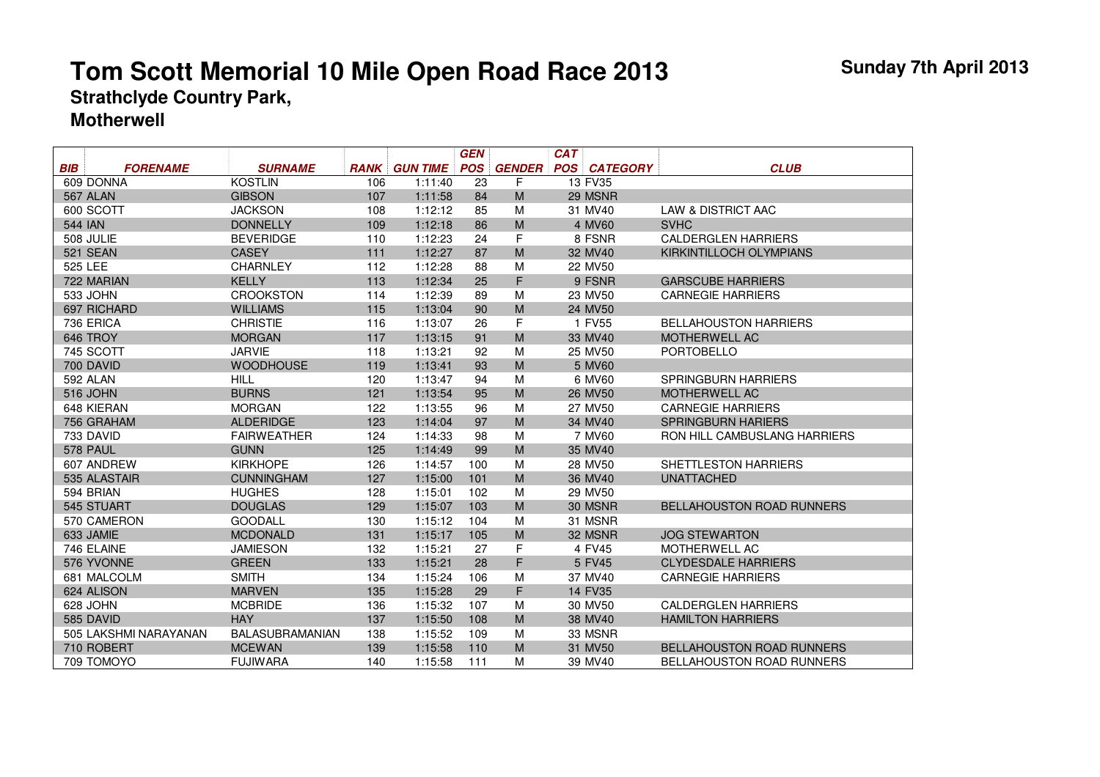|            |                       |                        |             |                 | <b>GEN</b> |               | <b>CAT</b> |                 |                                     |
|------------|-----------------------|------------------------|-------------|-----------------|------------|---------------|------------|-----------------|-------------------------------------|
| <b>BIB</b> | <b>FORENAME</b>       | <b>SURNAME</b>         | <b>RANK</b> | <b>GUN TIME</b> | <b>POS</b> | <b>GENDER</b> | <b>POS</b> | <b>CATEGORY</b> | <b>CLUB</b>                         |
|            | 609 DONNA             | <b>KOSTLIN</b>         | 106         | 1:11:40         | 23         | F             |            | 13 FV35         |                                     |
|            | 567 ALAN              | <b>GIBSON</b>          | 107         | 1:11:58         | 84         | M             |            | 29 MSNR         |                                     |
|            | 600 SCOTT             | <b>JACKSON</b>         | 108         | 1:12:12         | 85         | M             |            | 31 MV40         | LAW & DISTRICT AAC                  |
| 544 IAN    |                       | <b>DONNELLY</b>        | 109         | 1:12:18         | 86         | M             |            | 4 MV60          | <b>SVHC</b>                         |
|            | 508 JULIE             | <b>BEVERIDGE</b>       | 110         | 1:12:23         | 24         | F             |            | 8 FSNR          | <b>CALDERGLEN HARRIERS</b>          |
|            | <b>521 SEAN</b>       | <b>CASEY</b>           | 111         | 1:12:27         | 87         | M             |            | 32 MV40         | KIRKINTILLOCH OLYMPIANS             |
| 525 LEE    |                       | <b>CHARNLEY</b>        | 112         | 1:12:28         | 88         | M             |            | 22 MV50         |                                     |
|            | 722 MARIAN            | <b>KELLY</b>           | 113         | 1:12:34         | 25         | F             |            | 9 FSNR          | <b>GARSCUBE HARRIERS</b>            |
|            | 533 JOHN              | <b>CROOKSTON</b>       | 114         | 1:12:39         | 89         | М             |            | 23 MV50         | <b>CARNEGIE HARRIERS</b>            |
|            | 697 RICHARD           | <b>WILLIAMS</b>        | 115         | 1:13:04         | 90         | M             |            | 24 MV50         |                                     |
|            | 736 ERICA             | <b>CHRISTIE</b>        | 116         | 1:13:07         | 26         | F             |            | 1 FV55          | <b>BELLAHOUSTON HARRIERS</b>        |
|            | 646 TROY              | <b>MORGAN</b>          | 117         | 1:13:15         | 91         | M             |            | 33 MV40         | <b>MOTHERWELL AC</b>                |
|            | 745 SCOTT             | <b>JARVIE</b>          | 118         | 1:13:21         | 92         | Μ             |            | 25 MV50         | <b>PORTOBELLO</b>                   |
|            | 700 DAVID             | <b>WOODHOUSE</b>       | 119         | 1:13:41         | 93         | M             |            | 5 MV60          |                                     |
|            | 592 ALAN              | <b>HILL</b>            | 120         | 1:13:47         | 94         | М             |            | 6 MV60          | <b>SPRINGBURN HARRIERS</b>          |
|            | 516 JOHN              | <b>BURNS</b>           | 121         | 1:13:54         | 95         | M             |            | 26 MV50         | <b>MOTHERWELL AC</b>                |
|            | 648 KIERAN            | <b>MORGAN</b>          | 122         | 1:13:55         | 96         | М             |            | 27 MV50         | <b>CARNEGIE HARRIERS</b>            |
|            | 756 GRAHAM            | <b>ALDERIDGE</b>       | 123         | 1:14:04         | 97         | M             |            | 34 MV40         | <b>SPRINGBURN HARIERS</b>           |
|            | 733 DAVID             | <b>FAIRWEATHER</b>     | 124         | 1:14:33         | 98         | M             |            | 7 MV60          | <b>RON HILL CAMBUSLANG HARRIERS</b> |
|            | 578 PAUL              | <b>GUNN</b>            | 125         | 1:14:49         | 99         | M             |            | 35 MV40         |                                     |
|            | 607 ANDREW            | <b>KIRKHOPE</b>        | 126         | 1:14:57         | 100        | М             |            | 28 MV50         | SHETTLESTON HARRIERS                |
|            | 535 ALASTAIR          | <b>CUNNINGHAM</b>      | 127         | 1:15:00         | 101        | M             |            | 36 MV40         | <b>UNATTACHED</b>                   |
|            | 594 BRIAN             | <b>HUGHES</b>          | 128         | 1:15:01         | 102        | М             |            | 29 MV50         |                                     |
|            | 545 STUART            | <b>DOUGLAS</b>         | 129         | 1:15:07         | 103        | M             |            | 30 MSNR         | <b>BELLAHOUSTON ROAD RUNNERS</b>    |
|            | 570 CAMERON           | <b>GOODALL</b>         | 130         | 1:15:12         | 104        | М             |            | 31 MSNR         |                                     |
|            | 633 JAMIE             | <b>MCDONALD</b>        | 131         | 1:15:17         | 105        | M             |            | 32 MSNR         | <b>JOG STEWARTON</b>                |
|            | 746 ELAINE            | <b>JAMIESON</b>        | 132         | 1:15:21         | 27         | F             |            | 4 FV45          | <b>MOTHERWELL AC</b>                |
|            | 576 YVONNE            | <b>GREEN</b>           | 133         | 1:15:21         | 28         | F             |            | 5 FV45          | <b>CLYDESDALE HARRIERS</b>          |
|            | 681 MALCOLM           | <b>SMITH</b>           | 134         | 1:15:24         | 106        | M             |            | 37 MV40         | <b>CARNEGIE HARRIERS</b>            |
|            | 624 ALISON            | <b>MARVEN</b>          | 135         | 1:15:28         | 29         | F             |            | 14 FV35         |                                     |
|            | 628 JOHN              | <b>MCBRIDE</b>         | 136         | 1:15:32         | 107        | Μ             |            | 30 MV50         | <b>CALDERGLEN HARRIERS</b>          |
|            | 585 DAVID             | <b>HAY</b>             | 137         | 1:15:50         | 108        | M             |            | 38 MV40         | <b>HAMILTON HARRIERS</b>            |
|            | 505 LAKSHMI NARAYANAN | <b>BALASUBRAMANIAN</b> | 138         | 1:15:52         | 109        | Μ             |            | 33 MSNR         |                                     |
|            | 710 ROBERT            | <b>MCEWAN</b>          | 139         | 1:15:58         | 110        | M             |            | 31 MV50         | <b>BELLAHOUSTON ROAD RUNNERS</b>    |
|            | 709 TOMOYO            | <b>FUJIWARA</b>        | 140         | 1:15:58         | 111        | M             |            | 39 MV40         | <b>BELLAHOUSTON ROAD RUNNERS</b>    |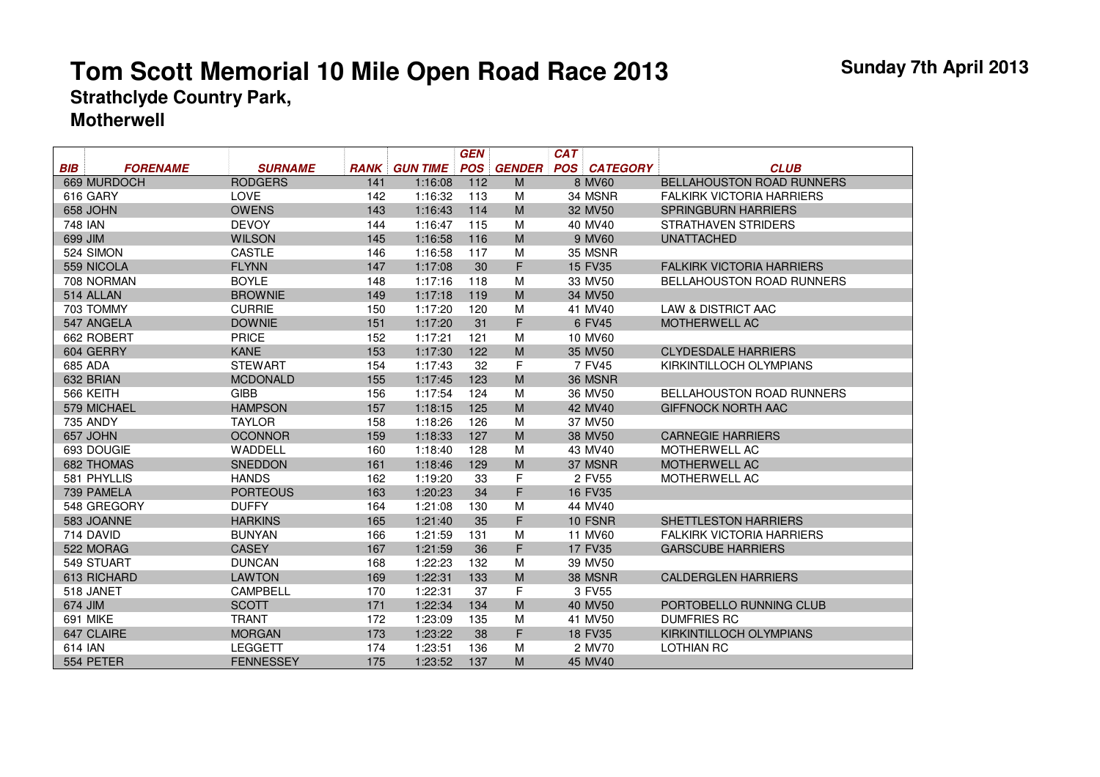|         |                 |                 |             |                 | <b>GEN</b> |               | <b>CAT</b> |                     |                                  |
|---------|-----------------|-----------------|-------------|-----------------|------------|---------------|------------|---------------------|----------------------------------|
| BIB     | <b>FORENAME</b> | <b>SURNAME</b>  | <b>RANK</b> | <b>GUN TIME</b> | <b>POS</b> | <b>GENDER</b> |            | <b>POS CATEGORY</b> | <b>CLUB</b>                      |
|         | 669 MURDOCH     | <b>RODGERS</b>  | 141         | 1:16:08         | 112        | M             |            | 8 MV60              | <b>BELLAHOUSTON ROAD RUNNERS</b> |
|         | 616 GARY        | <b>LOVE</b>     | 142         | 1:16:32         | 113        | M             |            | 34 MSNR             | <b>FALKIRK VICTORIA HARRIERS</b> |
|         | 658 JOHN        | <b>OWENS</b>    | 143         | 1:16:43         | 114        | M             |            | 32 MV50             | <b>SPRINGBURN HARRIERS</b>       |
| 748 IAN |                 | <b>DEVOY</b>    | 144         | 1:16:47         | 115        | M             |            | 40 MV40             | STRATHAVEN STRIDERS              |
| 699 JIM |                 | <b>WILSON</b>   | 145         | 1:16:58         | 116        | M             |            | 9 MV60              | <b>UNATTACHED</b>                |
|         | 524 SIMON       | <b>CASTLE</b>   | 146         | 1:16:58         | 117        | M             |            | 35 MSNR             |                                  |
|         | 559 NICOLA      | <b>FLYNN</b>    | 147         | 1:17:08         | 30         | F             |            | 15 FV35             | <b>FALKIRK VICTORIA HARRIERS</b> |
|         | 708 NORMAN      | <b>BOYLE</b>    | 148         | 1:17:16         | 118        | M             |            | 33 MV50             | <b>BELLAHOUSTON ROAD RUNNERS</b> |
|         | 514 ALLAN       | <b>BROWNIE</b>  | 149         | 1:17:18         | 119        | M             |            | 34 MV50             |                                  |
|         | 703 TOMMY       | <b>CURRIE</b>   | 150         | 1:17:20         | 120        | M             |            | 41 MV40             | <b>LAW &amp; DISTRICT AAC</b>    |
|         | 547 ANGELA      | <b>DOWNIE</b>   | 151         | 1:17:20         | 31         | F             |            | 6 FV45              | <b>MOTHERWELL AC</b>             |
|         | 662 ROBERT      | PRICE           | 152         | 1:17:21         | 121        | M             |            | 10 MV60             |                                  |
|         | 604 GERRY       | <b>KANE</b>     | 153         | 1:17:30         | 122        | M             |            | 35 MV50             | <b>CLYDESDALE HARRIERS</b>       |
| 685 ADA |                 | <b>STEWART</b>  | 154         | 1:17:43         | 32         | F             |            | 7 FV45              | KIRKINTILLOCH OLYMPIANS          |
|         | 632 BRIAN       | <b>MCDONALD</b> | 155         | 1:17:45         | 123        | M             |            | 36 MSNR             |                                  |
|         | 566 KEITH       | <b>GIBB</b>     | 156         | 1:17:54         | 124        | M             |            | 36 MV50             | <b>BELLAHOUSTON ROAD RUNNERS</b> |
|         | 579 MICHAEL     | <b>HAMPSON</b>  | 157         | 1:18:15         | 125        | M             |            | 42 MV40             | <b>GIFFNOCK NORTH AAC</b>        |
|         | <b>735 ANDY</b> | <b>TAYLOR</b>   | 158         | 1:18:26         | 126        | M             |            | 37 MV50             |                                  |
|         | 657 JOHN        | <b>OCONNOR</b>  | 159         | 1:18:33         | 127        | M             |            | 38 MV50             | <b>CARNEGIE HARRIERS</b>         |
|         | 693 DOUGIE      | WADDELL         | 160         | 1:18:40         | 128        | M             |            | 43 MV40             | <b>MOTHERWELL AC</b>             |
|         | 682 THOMAS      | <b>SNEDDON</b>  | 161         | 1:18:46         | 129        | M             |            | 37 MSNR             | <b>MOTHERWELL AC</b>             |
|         | 581 PHYLLIS     | <b>HANDS</b>    | 162         | 1:19:20         | 33         | F             |            | 2 FV55              | <b>MOTHERWELL AC</b>             |
|         | 739 PAMELA      | <b>PORTEOUS</b> | 163         | 1:20:23         | 34         | F             |            | 16 FV35             |                                  |
|         | 548 GREGORY     | <b>DUFFY</b>    | 164         | 1:21:08         | 130        | M             |            | 44 MV40             |                                  |
|         | 583 JOANNE      | <b>HARKINS</b>  | 165         | 1:21:40         | 35         | F             |            | 10 FSNR             | <b>SHETTLESTON HARRIERS</b>      |
|         | 714 DAVID       | <b>BUNYAN</b>   | 166         | 1:21:59         | 131        | M             |            | 11 MV60             | <b>FALKIRK VICTORIA HARRIERS</b> |
|         | 522 MORAG       | <b>CASEY</b>    | 167         | 1:21:59         | 36         | F             |            | 17 FV35             | <b>GARSCUBE HARRIERS</b>         |
|         | 549 STUART      | <b>DUNCAN</b>   | 168         | 1:22:23         | 132        | M             |            | 39 MV50             |                                  |
|         | 613 RICHARD     | <b>LAWTON</b>   | 169         | 1:22:31         | 133        | M             |            | 38 MSNR             | <b>CALDERGLEN HARRIERS</b>       |
|         | 518 JANET       | CAMPBELL        | 170         | 1:22:31         | 37         | F             |            | 3 FV55              |                                  |
| 674 JIM |                 | <b>SCOTT</b>    | 171         | 1:22:34         | 134        | M             |            | 40 MV50             | PORTOBELLO RUNNING CLUB          |
|         | <b>691 MIKE</b> | <b>TRANT</b>    | 172         | 1:23:09         | 135        | M             |            | 41 MV50             | <b>DUMFRIES RC</b>               |

CLAIRE MORGAN 173 1:23:22 38 F 18 FV35 KIRKINTILLOCH OLYMPIANS

IAN LEGGETT <sup>174</sup> 1:23:51 136 M <sup>2</sup> MV70 LOTHIAN RC

PETER FENNESSEY 175 1:23:52 137 M 45 MV40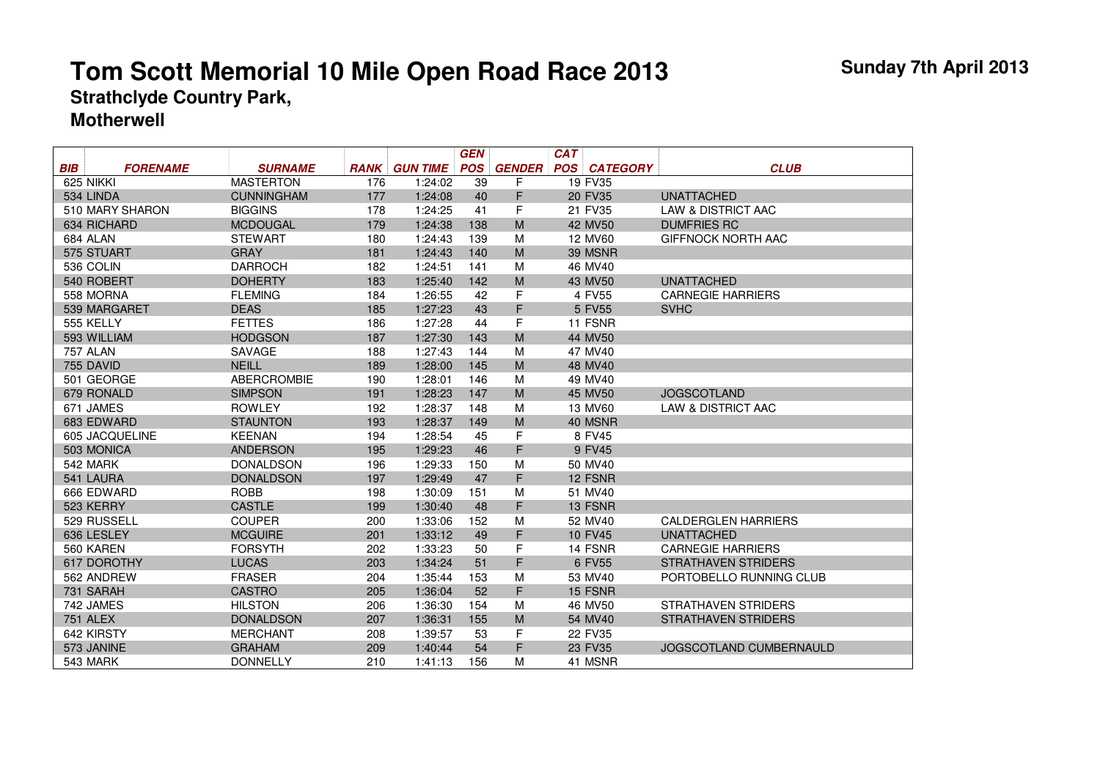|            |                 |                    |             |                 | <b>GEN</b> |               | <b>CAT</b> |                 |                               |
|------------|-----------------|--------------------|-------------|-----------------|------------|---------------|------------|-----------------|-------------------------------|
| <b>BIB</b> | <b>FORENAME</b> | <b>SURNAME</b>     | <b>RANK</b> | <b>GUN TIME</b> | <b>POS</b> | <b>GENDER</b> | <b>POS</b> | <b>CATEGORY</b> | <b>CLUB</b>                   |
|            | 625 NIKKI       | <b>MASTERTON</b>   | 176         | 1:24:02         | 39         | F             |            | 19 FV35         |                               |
|            | 534 LINDA       | <b>CUNNINGHAM</b>  | 177         | 1:24:08         | 40         | F             |            | 20 FV35         | <b>UNATTACHED</b>             |
|            | 510 MARY SHARON | <b>BIGGINS</b>     | 178         | 1:24:25         | 41         | F             |            | 21 FV35         | <b>LAW &amp; DISTRICT AAC</b> |
|            | 634 RICHARD     | <b>MCDOUGAL</b>    | 179         | 1:24:38         | 138        | M             |            | 42 MV50         | <b>DUMFRIES RC</b>            |
|            | 684 ALAN        | <b>STEWART</b>     | 180         | 1:24:43         | 139        | M             |            | 12 MV60         | <b>GIFFNOCK NORTH AAC</b>     |
|            | 575 STUART      | <b>GRAY</b>        | 181         | 1:24:43         | 140        | M             |            | 39 MSNR         |                               |
|            | 536 COLIN       | <b>DARROCH</b>     | 182         | 1:24:51         | 141        | M             |            | 46 MV40         |                               |
|            | 540 ROBERT      | <b>DOHERTY</b>     | 183         | 1:25:40         | 142        | M             |            | 43 MV50         | <b>UNATTACHED</b>             |
|            | 558 MORNA       | <b>FLEMING</b>     | 184         | 1:26:55         | 42         | F             |            | 4 FV55          | <b>CARNEGIE HARRIERS</b>      |
|            | 539 MARGARET    | <b>DEAS</b>        | 185         | 1:27:23         | 43         | F             |            | 5 FV55          | <b>SVHC</b>                   |
|            | 555 KELLY       | <b>FETTES</b>      | 186         | 1:27:28         | 44         | F             |            | 11 FSNR         |                               |
|            | 593 WILLIAM     | <b>HODGSON</b>     | 187         | 1:27:30         | 143        | M             |            | 44 MV50         |                               |
|            | <b>757 ALAN</b> | <b>SAVAGE</b>      | 188         | 1:27:43         | 144        | M             |            | 47 MV40         |                               |
|            | 755 DAVID       | <b>NEILL</b>       | 189         | 1:28:00         | 145        | M             |            | 48 MV40         |                               |
|            | 501 GEORGE      | <b>ABERCROMBIE</b> | 190         | 1:28:01         | 146        | M             |            | 49 MV40         |                               |
|            | 679 RONALD      | <b>SIMPSON</b>     | 191         | 1:28:23         | 147        | M             |            | 45 MV50         | <b>JOGSCOTLAND</b>            |
|            | 671 JAMES       | <b>ROWLEY</b>      | 192         | 1:28:37         | 148        | M             |            | 13 MV60         | <b>LAW &amp; DISTRICT AAC</b> |
|            | 683 EDWARD      | <b>STAUNTON</b>    | 193         | 1:28:37         | 149        | M             |            | 40 MSNR         |                               |
|            | 605 JACQUELINE  | <b>KEENAN</b>      | 194         | 1:28:54         | 45         | F             |            | 8 FV45          |                               |
|            | 503 MONICA      | <b>ANDERSON</b>    | 195         | 1:29:23         | 46         | F             |            | 9 FV45          |                               |
|            | 542 MARK        | <b>DONALDSON</b>   | 196         | 1:29:33         | 150        | M             |            | 50 MV40         |                               |
|            | 541 LAURA       | <b>DONALDSON</b>   | 197         | 1:29:49         | 47         | F.            |            | 12 FSNR         |                               |
|            | 666 EDWARD      | <b>ROBB</b>        | 198         | 1:30:09         | 151        | M             |            | 51 MV40         |                               |
|            | 523 KERRY       | <b>CASTLE</b>      | 199         | 1:30:40         | 48         | F             |            | 13 FSNR         |                               |
|            | 529 RUSSELL     | <b>COUPER</b>      | 200         | 1:33:06         | 152        | M             |            | 52 MV40         | <b>CALDERGLEN HARRIERS</b>    |
|            | 636 LESLEY      | <b>MCGUIRE</b>     | 201         | 1:33:12         | 49         | F             |            | 10 FV45         | <b>UNATTACHED</b>             |
|            | 560 KAREN       | <b>FORSYTH</b>     | 202         | 1:33:23         | 50         | F             |            | 14 FSNR         | <b>CARNEGIE HARRIERS</b>      |
|            | 617 DOROTHY     | <b>LUCAS</b>       | 203         | 1:34:24         | 51         | F             |            | 6 FV55          | <b>STRATHAVEN STRIDERS</b>    |
|            | 562 ANDREW      | <b>FRASER</b>      | 204         | 1:35:44         | 153        | M             |            | 53 MV40         | PORTOBELLO RUNNING CLUB       |
|            | 731 SARAH       | <b>CASTRO</b>      | 205         | 1:36:04         | 52         | F             |            | 15 FSNR         |                               |
|            | 742 JAMES       | <b>HILSTON</b>     | 206         | 1:36:30         | 154        | M             |            | 46 MV50         | <b>STRATHAVEN STRIDERS</b>    |
|            | <b>751 ALEX</b> | <b>DONALDSON</b>   | 207         | 1:36:31         | 155        | M             |            | 54 MV40         | <b>STRATHAVEN STRIDERS</b>    |
|            | 642 KIRSTY      | <b>MERCHANT</b>    | 208         | 1:39:57         | 53         | F             |            | 22 FV35         |                               |
|            | 573 JANINE      | <b>GRAHAM</b>      | 209         | 1:40:44         | 54         | F             |            | 23 FV35         | JOGSCOTLAND CUMBERNAULD       |
|            | 543 MARK        | <b>DONNELLY</b>    | 210         | 1:41:13         | 156        | М             |            | 41 MSNR         |                               |